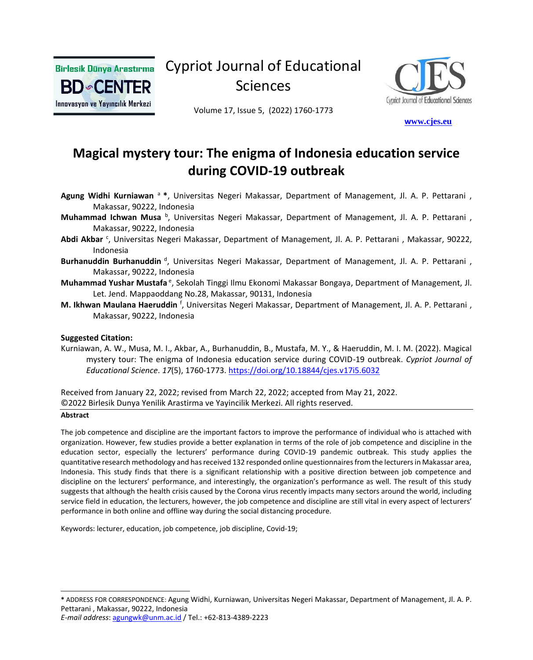

Cypriot Journal of Educational Sciences



Volume 17, Issue 5, (2022) 1760-1773

 **[w](http://www.cjes.eu/)[ww.cjes.eu](http://www.cjes.eu/)**

# **Magical mystery tour: The enigma of Indonesia education service during COVID-19 outbreak**

- **Agung Widhi Kurniawan** <sup>a</sup>**\***, Universitas Negeri Makassar, Department of Management, Jl. A. P. Pettarani , Makassar, 90222, Indonesia
- Muhammad Ichwan Musa <sup>b</sup>, Universitas Negeri Makassar, Department of Management, Jl. A. P. Pettarani, Makassar, 90222, Indonesia
- Abdi Akbar<sup>c</sup>, Universitas Negeri Makassar, Department of Management, Jl. A. P. Pettarani, Makassar, 90222, Indonesia
- Burhanuddin Burhanuddin <sup>d</sup>, Universitas Negeri Makassar, Department of Management, Jl. A. P. Pettarani, Makassar, 90222, Indonesia
- Muhammad Yushar Mustafa <sup>e</sup>, Sekolah Tinggi Ilmu Ekonomi Makassar Bongaya, Department of Management, Jl. Let. Jend. Mappaoddang No.28, Makassar, 90131, Indonesia
- **M. Ikhwan Maulana Haeruddin** <sup>f</sup>, Universitas Negeri Makassar, Department of Management, Jl. A. P. Pettarani , Makassar, 90222, Indonesia

#### **Suggested Citation:**

Kurniawan, A. W., Musa, M. I., Akbar, A., Burhanuddin, B., Mustafa, M. Y., & Haeruddin, M. I. M. (2022). Magical mystery tour: The enigma of Indonesia education service during COVID-19 outbreak. *Cypriot Journal of Educational Science*. *17*(5), 1760-1773. <https://doi.org/10.18844/cjes.v17i5.6032>

Received from January 22, 2022; revised from March 22, 2022; accepted from May 21, 2022. ©2022 Birlesik Dunya Yenilik Arastirma ve Yayincilik Merkezi. All rights reserved.

#### **Abstract**

The job competence and discipline are the important factors to improve the performance of individual who is attached with organization. However, few studies provide a better explanation in terms of the role of job competence and discipline in the education sector, especially the lecturers' performance during COVID-19 pandemic outbreak. This study applies the quantitative research methodology and has received 132 responded online questionnaires from the lecturers in Makassar area, Indonesia. This study finds that there is a significant relationship with a positive direction between job competence and discipline on the lecturers' performance, and interestingly, the organization's performance as well. The result of this study suggests that although the health crisis caused by the Corona virus recently impacts many sectors around the world, including service field in education, the lecturers, however, the job competence and discipline are still vital in every aspect of lecturers' performance in both online and offline way during the social distancing procedure.

Keywords: lecturer, education, job competence, job discipline, Covid-19;

**<sup>\*</sup>** ADDRESS FOR CORRESPONDENCE: Agung Widhi, Kurniawan, Universitas Negeri Makassar, Department of Management, Jl. A. P. Pettarani , Makassar, 90222, Indonesia

*E-mail address*: [agungwk@unm.ac.id](mailto:agungwk@unm.ac.id) / Tel.: +62-813-4389-2223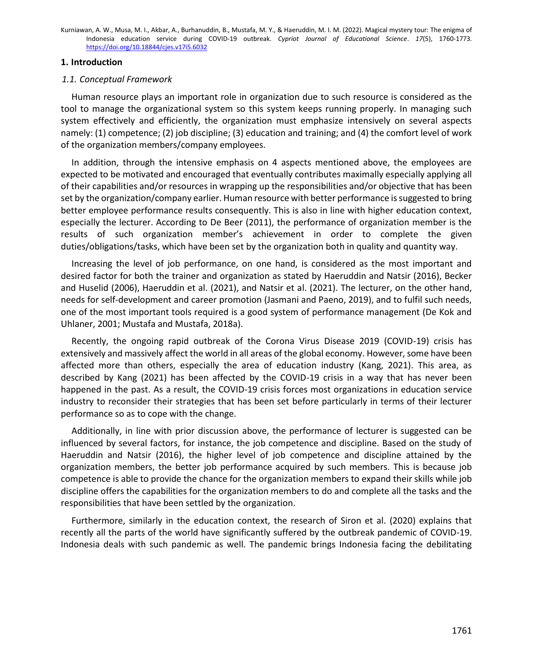#### **1. Introduction**

## *1.1. Conceptual Framework*

Human resource plays an important role in organization due to such resource is considered as the tool to manage the organizational system so this system keeps running properly. In managing such system effectively and efficiently, the organization must emphasize intensively on several aspects namely: (1) competence; (2) job discipline; (3) education and training; and (4) the comfort level of work of the organization members/company employees.

In addition, through the intensive emphasis on 4 aspects mentioned above, the employees are expected to be motivated and encouraged that eventually contributes maximally especially applying all of their capabilities and/or resources in wrapping up the responsibilities and/or objective that has been set by the organization/company earlier. Human resource with better performance is suggested to bring better employee performance results consequently. This is also in line with higher education context, especially the lecturer. According to De Beer (2011), the performance of organization member is the results of such organization member's achievement in order to complete the given duties/obligations/tasks, which have been set by the organization both in quality and quantity way.

Increasing the level of job performance, on one hand, is considered as the most important and desired factor for both the trainer and organization as stated by Haeruddin and Natsir (2016), Becker and Huselid (2006), Haeruddin et al. (2021), and Natsir et al. (2021). The lecturer, on the other hand, needs for self-development and career promotion (Jasmani and Paeno, 2019), and to fulfil such needs, one of the most important tools required is a good system of performance management (De Kok and Uhlaner, 2001; Mustafa and Mustafa, 2018a).

Recently, the ongoing rapid outbreak of the Corona Virus Disease 2019 (COVID-19) crisis has extensively and massively affect the world in all areas of the global economy. However, some have been affected more than others, especially the area of education industry (Kang, 2021). This area, as described by Kang (2021) has been affected by the COVID-19 crisis in a way that has never been happened in the past. As a result, the COVID-19 crisis forces most organizations in education service industry to reconsider their strategies that has been set before particularly in terms of their lecturer performance so as to cope with the change.

Additionally, in line with prior discussion above, the performance of lecturer is suggested can be influenced by several factors, for instance, the job competence and discipline. Based on the study of Haeruddin and Natsir (2016), the higher level of job competence and discipline attained by the organization members, the better job performance acquired by such members. This is because job competence is able to provide the chance for the organization members to expand their skills while job discipline offers the capabilities for the organization members to do and complete all the tasks and the responsibilities that have been settled by the organization.

Furthermore, similarly in the education context, the research of Siron et al. (2020) explains that recently all the parts of the world have significantly suffered by the outbreak pandemic of COVID-19. Indonesia deals with such pandemic as well. The pandemic brings Indonesia facing the debilitating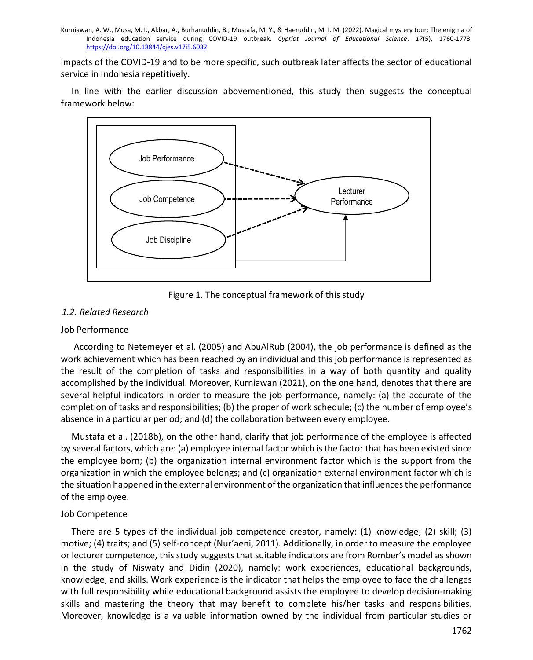impacts of the COVID-19 and to be more specific, such outbreak later affects the sector of educational service in Indonesia repetitively.

In line with the earlier discussion abovementioned, this study then suggests the conceptual framework below:



Figure 1. The conceptual framework of this study

# *1.2. Related Research*

#### Job Performance

According to Netemeyer et al. (2005) and AbuAlRub (2004), the job performance is defined as the work achievement which has been reached by an individual and this job performance is represented as the result of the completion of tasks and responsibilities in a way of both quantity and quality accomplished by the individual. Moreover, Kurniawan (2021), on the one hand, denotes that there are several helpful indicators in order to measure the job performance, namely: (a) the accurate of the completion of tasks and responsibilities; (b) the proper of work schedule; (c) the number of employee's absence in a particular period; and (d) the collaboration between every employee.

Mustafa et al. (2018b), on the other hand, clarify that job performance of the employee is affected by several factors, which are: (a) employee internal factor which is the factor that has been existed since the employee born; (b) the organization internal environment factor which is the support from the organization in which the employee belongs; and (c) organization external environment factor which is the situation happened in the external environment of the organization that influences the performance of the employee.

## Job Competence

There are 5 types of the individual job competence creator, namely: (1) knowledge; (2) skill; (3) motive; (4) traits; and (5) self-concept (Nur'aeni, 2011). Additionally, in order to measure the employee or lecturer competence, this study suggests that suitable indicators are from Romber's model as shown in the study of Niswaty and Didin (2020), namely: work experiences, educational backgrounds, knowledge, and skills. Work experience is the indicator that helps the employee to face the challenges with full responsibility while educational background assists the employee to develop decision-making skills and mastering the theory that may benefit to complete his/her tasks and responsibilities. Moreover, knowledge is a valuable information owned by the individual from particular studies or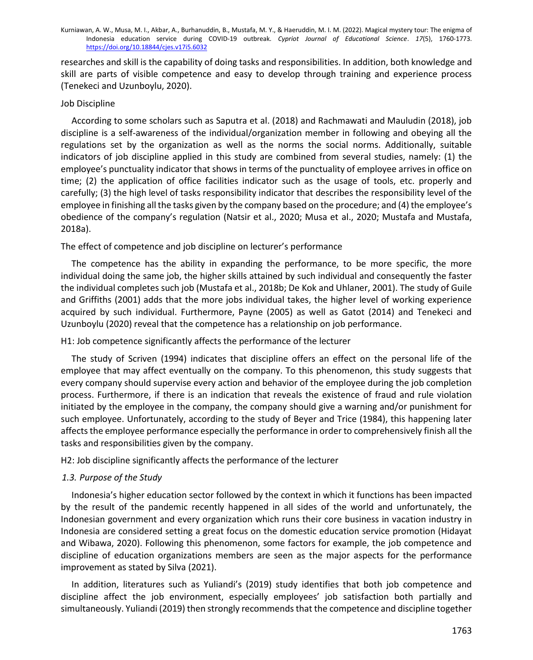researches and skill is the capability of doing tasks and responsibilities. In addition, both knowledge and skill are parts of visible competence and easy to develop through training and experience process (Tenekeci and Uzunboylu, 2020).

## Job Discipline

According to some scholars such as Saputra et al. (2018) and Rachmawati and Mauludin (2018), job discipline is a self-awareness of the individual/organization member in following and obeying all the regulations set by the organization as well as the norms the social norms. Additionally, suitable indicators of job discipline applied in this study are combined from several studies, namely: (1) the employee's punctuality indicator that shows in terms of the punctuality of employee arrives in office on time; (2) the application of office facilities indicator such as the usage of tools, etc. properly and carefully; (3) the high level of tasks responsibility indicator that describes the responsibility level of the employee in finishing all the tasks given by the company based on the procedure; and (4) the employee's obedience of the company's regulation (Natsir et al., 2020; Musa et al., 2020; Mustafa and Mustafa, 2018a).

## The effect of competence and job discipline on lecturer's performance

The competence has the ability in expanding the performance, to be more specific, the more individual doing the same job, the higher skills attained by such individual and consequently the faster the individual completes such job (Mustafa et al., 2018b; De Kok and Uhlaner, 2001). The study of Guile and Griffiths (2001) adds that the more jobs individual takes, the higher level of working experience acquired by such individual. Furthermore, Payne (2005) as well as Gatot (2014) and Tenekeci and Uzunboylu (2020) reveal that the competence has a relationship on job performance.

## H1: Job competence significantly affects the performance of the lecturer

The study of Scriven (1994) indicates that discipline offers an effect on the personal life of the employee that may affect eventually on the company. To this phenomenon, this study suggests that every company should supervise every action and behavior of the employee during the job completion process. Furthermore, if there is an indication that reveals the existence of fraud and rule violation initiated by the employee in the company, the company should give a warning and/or punishment for such employee. Unfortunately, according to the study of Beyer and Trice (1984), this happening later affects the employee performance especially the performance in order to comprehensively finish all the tasks and responsibilities given by the company.

H2: Job discipline significantly affects the performance of the lecturer

## *1.3. Purpose of the Study*

Indonesia's higher education sector followed by the context in which it functions has been impacted by the result of the pandemic recently happened in all sides of the world and unfortunately, the Indonesian government and every organization which runs their core business in vacation industry in Indonesia are considered setting a great focus on the domestic education service promotion (Hidayat and Wibawa, 2020). Following this phenomenon, some factors for example, the job competence and discipline of education organizations members are seen as the major aspects for the performance improvement as stated by Silva (2021).

In addition, literatures such as Yuliandi's (2019) study identifies that both job competence and discipline affect the job environment, especially employees' job satisfaction both partially and simultaneously. Yuliandi (2019) then strongly recommends that the competence and discipline together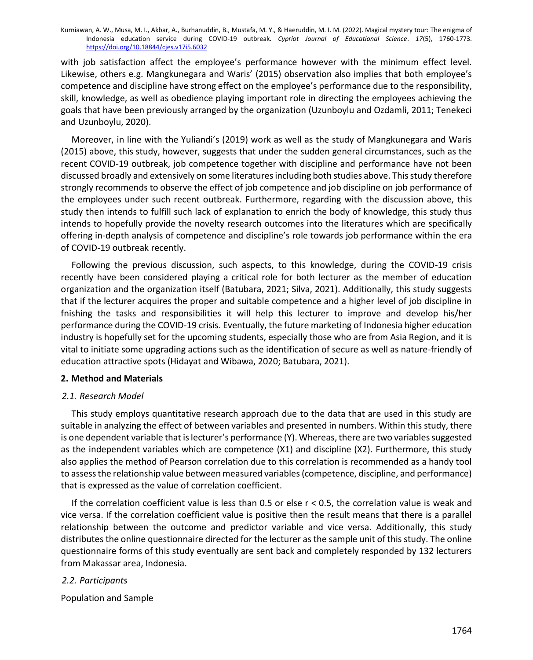with job satisfaction affect the employee's performance however with the minimum effect level. Likewise, others e.g. Mangkunegara and Waris' (2015) observation also implies that both employee's competence and discipline have strong effect on the employee's performance due to the responsibility, skill, knowledge, as well as obedience playing important role in directing the employees achieving the goals that have been previously arranged by the organization (Uzunboylu and Ozdamli, 2011; Tenekeci and Uzunboylu, 2020).

Moreover, in line with the Yuliandi's (2019) work as well as the study of Mangkunegara and Waris (2015) above, this study, however, suggests that under the sudden general circumstances, such as the recent COVID-19 outbreak, job competence together with discipline and performance have not been discussed broadly and extensively on some literatures including both studies above. This study therefore strongly recommends to observe the effect of job competence and job discipline on job performance of the employees under such recent outbreak. Furthermore, regarding with the discussion above, this study then intends to fulfill such lack of explanation to enrich the body of knowledge, this study thus intends to hopefully provide the novelty research outcomes into the literatures which are specifically offering in-depth analysis of competence and discipline's role towards job performance within the era of COVID-19 outbreak recently.

Following the previous discussion, such aspects, to this knowledge, during the COVID-19 crisis recently have been considered playing a critical role for both lecturer as the member of education organization and the organization itself (Batubara, 2021; Silva, 2021). Additionally, this study suggests that if the lecturer acquires the proper and suitable competence and a higher level of job discipline in fnishing the tasks and responsibilities it will help this lecturer to improve and develop his/her performance during the COVID-19 crisis. Eventually, the future marketing of Indonesia higher education industry is hopefully set for the upcoming students, especially those who are from Asia Region, and it is vital to initiate some upgrading actions such as the identification of secure as well as nature-friendly of education attractive spots (Hidayat and Wibawa, 2020; Batubara, 2021).

## **2. Method and Materials**

## *2.1. Research Model*

This study employs quantitative research approach due to the data that are used in this study are suitable in analyzing the effect of between variables and presented in numbers. Within this study, there is one dependent variable that is lecturer's performance (Y). Whereas, there are two variables suggested as the independent variables which are competence (X1) and discipline (X2). Furthermore, this study also applies the method of Pearson correlation due to this correlation is recommended as a handy tool to assess the relationship value between measured variables (competence, discipline, and performance) that is expressed as the value of correlation coefficient.

If the correlation coefficient value is less than 0.5 or else  $r < 0.5$ , the correlation value is weak and vice versa. If the correlation coefficient value is positive then the result means that there is a parallel relationship between the outcome and predictor variable and vice versa. Additionally, this study distributes the online questionnaire directed for the lecturer as the sample unit of this study. The online questionnaire forms of this study eventually are sent back and completely responded by 132 lecturers from Makassar area, Indonesia.

## *2.2. Participants*

Population and Sample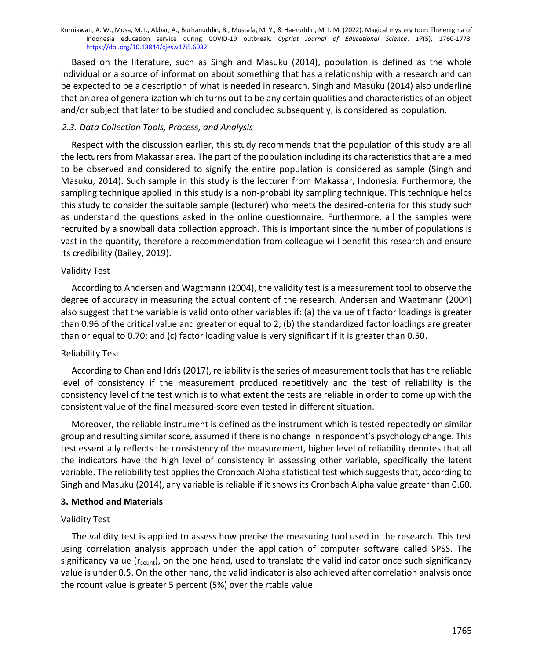Based on the literature, such as Singh and Masuku (2014), population is defined as the whole individual or a source of information about something that has a relationship with a research and can be expected to be a description of what is needed in research. Singh and Masuku (2014) also underline that an area of generalization which turns out to be any certain qualities and characteristics of an object and/or subject that later to be studied and concluded subsequently, is considered as population.

# *2.3. Data Collection Tools, Process, and Analysis*

Respect with the discussion earlier, this study recommends that the population of this study are all the lecturers from Makassar area. The part of the population including its characteristics that are aimed to be observed and considered to signify the entire population is considered as sample (Singh and Masuku, 2014). Such sample in this study is the lecturer from Makassar, Indonesia. Furthermore, the sampling technique applied in this study is a non-probability sampling technique. This technique helps this study to consider the suitable sample (lecturer) who meets the desired-criteria for this study such as understand the questions asked in the online questionnaire. Furthermore, all the samples were recruited by a snowball data collection approach. This is important since the number of populations is vast in the quantity, therefore a recommendation from colleague will benefit this research and ensure its credibility (Bailey, 2019).

# Validity Test

According to Andersen and Wagtmann (2004), the validity test is a measurement tool to observe the degree of accuracy in measuring the actual content of the research. Andersen and Wagtmann (2004) also suggest that the variable is valid onto other variables if: (a) the value of t factor loadings is greater than 0.96 of the critical value and greater or equal to 2; (b) the standardized factor loadings are greater than or equal to 0.70; and (c) factor loading value is very significant if it is greater than 0.50.

# Reliability Test

According to Chan and Idris (2017), reliability is the series of measurement tools that has the reliable level of consistency if the measurement produced repetitively and the test of reliability is the consistency level of the test which is to what extent the tests are reliable in order to come up with the consistent value of the final measured-score even tested in different situation.

Moreover, the reliable instrument is defined as the instrument which is tested repeatedly on similar group and resulting similar score, assumed if there is no change in respondent's psychology change. This test essentially reflects the consistency of the measurement, higher level of reliability denotes that all the indicators have the high level of consistency in assessing other variable, specifically the latent variable. The reliability test applies the Cronbach Alpha statistical test which suggests that, according to Singh and Masuku (2014), any variable is reliable if it shows its Cronbach Alpha value greater than 0.60.

# **3. Method and Materials**

# Validity Test

The validity test is applied to assess how precise the measuring tool used in the research. This test using correlation analysis approach under the application of computer software called SPSS. The significancy value ( $r_{\text{count}}$ ), on the one hand, used to translate the valid indicator once such significancy value is under 0.5. On the other hand, the valid indicator is also achieved after correlation analysis once the rcount value is greater 5 percent (5%) over the rtable value.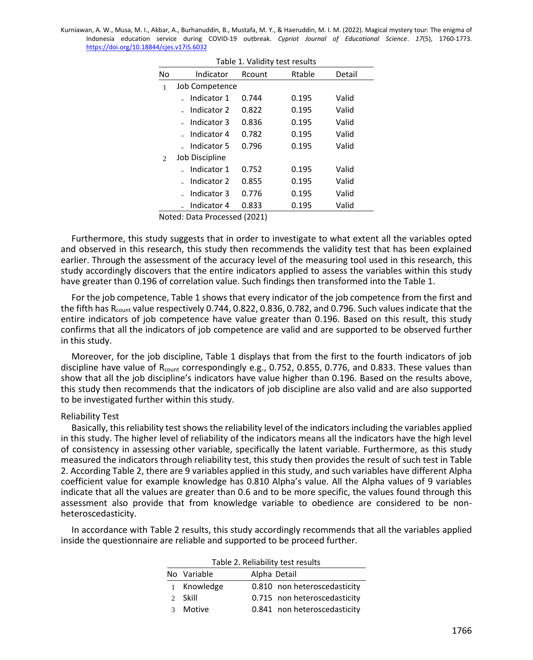| Table 1. Validity test results |                              |        |        |        |  |
|--------------------------------|------------------------------|--------|--------|--------|--|
| No                             | Indicator                    | Rcount | Rtable | Detail |  |
| 1                              | Job Competence               |        |        |        |  |
|                                | Indicator 1                  | 0.744  | 0.195  | Valid  |  |
|                                | Indicator 2                  | 0.822  | 0.195  | Valid  |  |
|                                | Indicator 3                  | 0.836  | 0.195  | Valid  |  |
|                                | Indicator 4                  | 0.782  | 0.195  | Valid  |  |
|                                | Indicator 5                  | 0.796  | 0.195  | Valid  |  |
| $\mathfrak{D}$                 | Job Discipline               |        |        |        |  |
|                                | Indicator 1                  | 0.752  | 0.195  | Valid  |  |
|                                | Indicator 2                  | 0.855  | 0.195  | Valid  |  |
|                                | Indicator 3                  | 0.776  | 0.195  | Valid  |  |
|                                | Indicator 4                  | 0.833  | 0.195  | Valid  |  |
|                                | Natad: Data Dressesed (2021) |        |        |        |  |

Noted: Data Processed (2021)

Furthermore, this study suggests that in order to investigate to what extent all the variables opted and observed in this research, this study then recommends the validity test that has been explained earlier. Through the assessment of the accuracy level of the measuring tool used in this research, this study accordingly discovers that the entire indicators applied to assess the variables within this study have greater than 0.196 of correlation value. Such findings then transformed into the Table 1.

For the job competence, Table 1 shows that every indicator of the job competence from the first and the fifth has R<sub>count</sub> value respectively 0.744, 0.822, 0.836, 0.782, and 0.796. Such values indicate that the entire indicators of job competence have value greater than 0.196. Based on this result, this study confirms that all the indicators of job competence are valid and are supported to be observed further in this study.

Moreover, for the job discipline, Table 1 displays that from the first to the fourth indicators of job discipline have value of  $R_{count}$  correspondingly e.g., 0.752, 0.855, 0.776, and 0.833. These values than show that all the job discipline's indicators have value higher than 0.196. Based on the results above, this study then recommends that the indicators of job discipline are also valid and are also supported to be investigated further within this study.

#### Reliability Test

Basically, this reliability test shows the reliability level of the indicators including the variables applied in this study. The higher level of reliability of the indicators means all the indicators have the high level of consistency in assessing other variable, specifically the latent variable. Furthermore, as this study measured the indicators through reliability test, this study then provides the result of such test in Table 2. According Table 2, there are 9 variables applied in this study, and such variables have different Alpha coefficient value for example knowledge has 0.810 Alpha's value. All the Alpha values of 9 variables indicate that all the values are greater than 0.6 and to be more specific, the values found through this assessment also provide that from knowledge variable to obedience are considered to be nonheteroscedasticity.

In accordance with Table 2 results, this study accordingly recommends that all the variables applied inside the questionnaire are reliable and supported to be proceed further.

| Table 2. Reliability test results |             |                              |  |  |
|-----------------------------------|-------------|------------------------------|--|--|
|                                   | No Variable | Alpha Detail                 |  |  |
|                                   | 1 Knowledge | 0.810 non heteroscedasticity |  |  |
|                                   | 2 Skill     | 0.715 non heteroscedasticity |  |  |
| $\mathcal{R}$                     | Motive      | 0.841 non heteroscedasticity |  |  |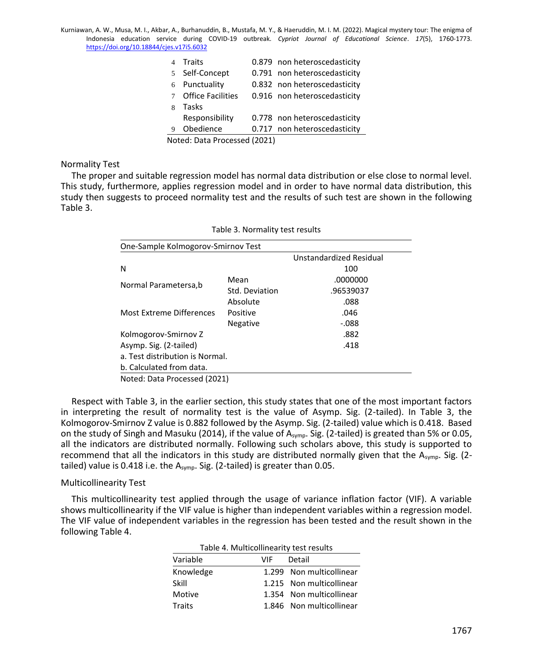|                              | <b>Traits</b>            |  | 0.879 non heteroscedasticity |
|------------------------------|--------------------------|--|------------------------------|
|                              | 5 Self-Concept           |  | 0.791 non heteroscedasticity |
| 6                            | Punctuality              |  | 0.832 non heteroscedasticity |
|                              | <b>Office Facilities</b> |  | 0.916 non heteroscedasticity |
| 8                            | Tasks                    |  |                              |
|                              | Responsibility           |  | 0.778 non heteroscedasticity |
| 9                            | Obedience                |  | 0.717 non heteroscedasticity |
| Noted: Data Processed (2021) |                          |  |                              |

Normality Test

The proper and suitable regression model has normal data distribution or else close to normal level. This study, furthermore, applies regression model and in order to have normal data distribution, this study then suggests to proceed normality test and the results of such test are shown in the following Table 3.

| One-Sample Kolmogorov-Smirnov Test |                 |                         |
|------------------------------------|-----------------|-------------------------|
|                                    |                 | Unstandardized Residual |
| N                                  |                 | 100                     |
| Normal Parametersa, b              | Mean            | .0000000                |
|                                    | Std. Deviation  | .96539037               |
|                                    | Absolute        | .088                    |
| Most Extreme Differences           | Positive        | .046                    |
|                                    | <b>Negative</b> | -.088                   |
| Kolmogorov-Smirnov Z               |                 | .882                    |
| Asymp. Sig. (2-tailed)             |                 | .418                    |
| a. Test distribution is Normal.    |                 |                         |
| b. Calculated from data.           |                 |                         |
| Noted: Data Processed (2021)       |                 |                         |

Table 3. Normality test results

Respect with Table 3, in the earlier section, this study states that one of the most important factors in interpreting the result of normality test is the value of Asymp. Sig. (2-tailed). In Table 3, the Kolmogorov-Smirnov Z value is 0.882 followed by the Asymp. Sig. (2-tailed) value which is 0.418. Based on the study of Singh and Masuku (2014), if the value of A<sub>symp</sub>. Sig. (2-tailed) is greated than 5% or 0.05, all the indicators are distributed normally. Following such scholars above, this study is supported to recommend that all the indicators in this study are distributed normally given that the Asymp. Sig. (2tailed) value is 0.418 i.e. the A<sub>symp</sub>. Sig. (2-tailed) is greater than 0.05.

#### Multicollinearity Test

This multicollinearity test applied through the usage of variance inflation factor (VIF). A variable shows multicollinearity if the VIF value is higher than independent variables within a regression model. The VIF value of independent variables in the regression has been tested and the result shown in the following Table 4.

| Table 4. Ividiticolilitearity test results |     |                          |  |  |
|--------------------------------------------|-----|--------------------------|--|--|
| Variable                                   | VIF | Detail                   |  |  |
| Knowledge                                  |     | 1.299 Non multicollinear |  |  |
| Skill                                      |     | 1.215 Non multicollinear |  |  |
| Motive                                     |     | 1.354 Non multicollinear |  |  |
| Traits                                     |     | 1.846 Non multicollinear |  |  |
|                                            |     |                          |  |  |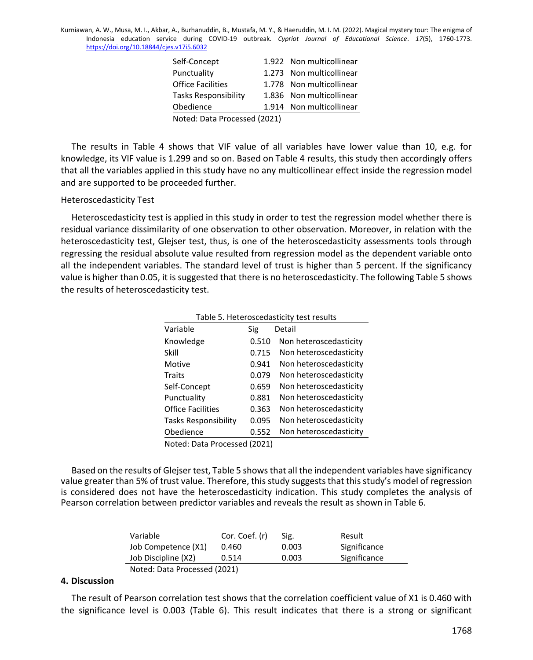| Self-Concept                 |  | 1.922 Non multicollinear |  |
|------------------------------|--|--------------------------|--|
| Punctuality                  |  | 1.273 Non multicollinear |  |
| Office Facilities            |  | 1.778 Non multicollinear |  |
| Tasks Responsibility         |  | 1.836 Non multicollinear |  |
| Obedience                    |  | 1.914 Non multicollinear |  |
| Noted: Data Processed (2021) |  |                          |  |

The results in Table 4 shows that VIF value of all variables have lower value than 10, e.g. for knowledge, its VIF value is 1.299 and so on. Based on Table 4 results, this study then accordingly offers that all the variables applied in this study have no any multicollinear effect inside the regression model and are supported to be proceeded further.

#### Heteroscedasticity Test

Heteroscedasticity test is applied in this study in order to test the regression model whether there is residual variance dissimilarity of one observation to other observation. Moreover, in relation with the heteroscedasticity test, Glejser test, thus, is one of the heteroscedasticity assessments tools through regressing the residual absolute value resulted from regression model as the dependent variable onto all the independent variables. The standard level of trust is higher than 5 percent. If the significancy value is higher than 0.05, it is suggested that there is no heteroscedasticity. The following Table 5 shows the results of heteroscedasticity test.

| Table 5. Heteroscedasticity test results |       |                        |  |  |
|------------------------------------------|-------|------------------------|--|--|
| Variable                                 | Sig   | Detail                 |  |  |
| Knowledge                                | 0.510 | Non heteroscedasticity |  |  |
| Skill                                    | 0.715 | Non heteroscedasticity |  |  |
| Motive                                   | 0.941 | Non heteroscedasticity |  |  |
| Traits                                   | 0.079 | Non heteroscedasticity |  |  |
| Self-Concept                             | 0.659 | Non heteroscedasticity |  |  |
| Punctuality                              | 0.881 | Non heteroscedasticity |  |  |
| <b>Office Facilities</b>                 | 0.363 | Non heteroscedasticity |  |  |
| <b>Tasks Responsibility</b>              | 0.095 | Non heteroscedasticity |  |  |
| Obedience                                | 0.552 | Non heteroscedasticity |  |  |
| Noted: Data Processed (2021)             |       |                        |  |  |

Table 5. Heteroscedasticity test results

Based on the results of Glejser test, Table 5 shows that all the independent variables have significancy value greater than 5% of trust value. Therefore, this study suggests that this study's model of regression is considered does not have the heteroscedasticity indication. This study completes the analysis of Pearson correlation between predictor variables and reveals the result as shown in Table 6.

| Variable                     | Cor. Coef. (r) | Sig.  | Result       |
|------------------------------|----------------|-------|--------------|
| Job Competence (X1)          | 0.460          | 0.003 | Significance |
| Job Discipline (X2)          | 0.514          | 0.003 | Significance |
| Noted: Data Processed (2021) |                |       |              |

**4. Discussion**

The result of Pearson correlation test shows that the correlation coefficient value of X1 is 0.460 with the significance level is 0.003 (Table 6). This result indicates that there is a strong or significant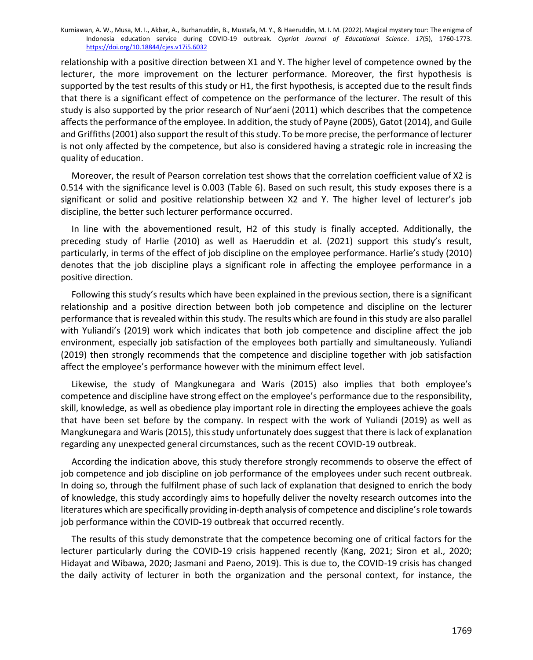relationship with a positive direction between X1 and Y. The higher level of competence owned by the lecturer, the more improvement on the lecturer performance. Moreover, the first hypothesis is supported by the test results of this study or H1, the first hypothesis, is accepted due to the result finds that there is a significant effect of competence on the performance of the lecturer. The result of this study is also supported by the prior research of Nur'aeni (2011) which describes that the competence affects the performance of the employee. In addition, the study of Payne (2005), Gatot (2014), and Guile and Griffiths (2001) also support the result of this study. To be more precise, the performance of lecturer is not only affected by the competence, but also is considered having a strategic role in increasing the quality of education.

Moreover, the result of Pearson correlation test shows that the correlation coefficient value of X2 is 0.514 with the significance level is 0.003 (Table 6). Based on such result, this study exposes there is a significant or solid and positive relationship between X2 and Y. The higher level of lecturer's job discipline, the better such lecturer performance occurred.

In line with the abovementioned result, H2 of this study is finally accepted. Additionally, the preceding study of Harlie (2010) as well as Haeruddin et al. (2021) support this study's result, particularly, in terms of the effect of job discipline on the employee performance. Harlie's study (2010) denotes that the job discipline plays a significant role in affecting the employee performance in a positive direction.

Following this study's results which have been explained in the previous section, there is a significant relationship and a positive direction between both job competence and discipline on the lecturer performance that is revealed within this study. The results which are found in this study are also parallel with Yuliandi's (2019) work which indicates that both job competence and discipline affect the job environment, especially job satisfaction of the employees both partially and simultaneously. Yuliandi (2019) then strongly recommends that the competence and discipline together with job satisfaction affect the employee's performance however with the minimum effect level.

Likewise, the study of Mangkunegara and Waris (2015) also implies that both employee's competence and discipline have strong effect on the employee's performance due to the responsibility, skill, knowledge, as well as obedience play important role in directing the employees achieve the goals that have been set before by the company. In respect with the work of Yuliandi (2019) as well as Mangkunegara and Waris (2015), this study unfortunately does suggest that there is lack of explanation regarding any unexpected general circumstances, such as the recent COVID-19 outbreak.

According the indication above, this study therefore strongly recommends to observe the effect of job competence and job discipline on job performance of the employees under such recent outbreak. In doing so, through the fulfilment phase of such lack of explanation that designed to enrich the body of knowledge, this study accordingly aims to hopefully deliver the novelty research outcomes into the literatures which are specifically providing in-depth analysis of competence and discipline's role towards job performance within the COVID-19 outbreak that occurred recently.

The results of this study demonstrate that the competence becoming one of critical factors for the lecturer particularly during the COVID-19 crisis happened recently (Kang, 2021; Siron et al., 2020; Hidayat and Wibawa, 2020; Jasmani and Paeno, 2019). This is due to, the COVID-19 crisis has changed the daily activity of lecturer in both the organization and the personal context, for instance, the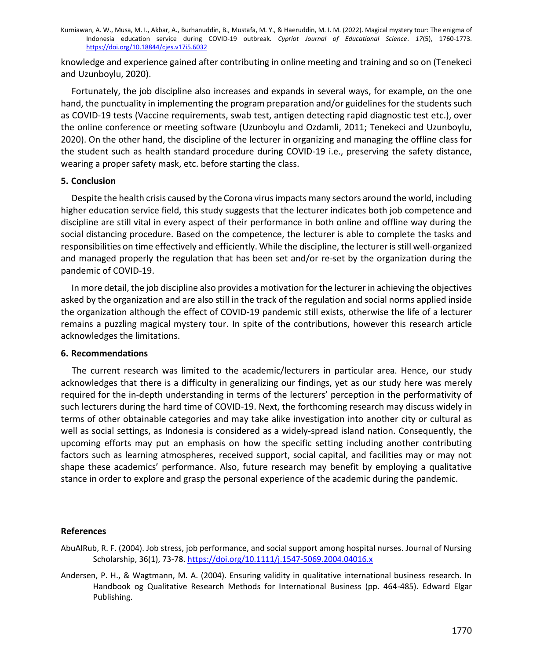knowledge and experience gained after contributing in online meeting and training and so on (Tenekeci and Uzunboylu, 2020).

Fortunately, the job discipline also increases and expands in several ways, for example, on the one hand, the punctuality in implementing the program preparation and/or guidelines for the students such as COVID-19 tests (Vaccine requirements, swab test, antigen detecting rapid diagnostic test etc.), over the online conference or meeting software (Uzunboylu and Ozdamli, 2011; Tenekeci and Uzunboylu, 2020). On the other hand, the discipline of the lecturer in organizing and managing the offline class for the student such as health standard procedure during COVID-19 i.e., preserving the safety distance, wearing a proper safety mask, etc. before starting the class.

#### **5. Conclusion**

Despite the health crisis caused by the Corona virus impacts many sectors around the world, including higher education service field, this study suggests that the lecturer indicates both job competence and discipline are still vital in every aspect of their performance in both online and offline way during the social distancing procedure. Based on the competence, the lecturer is able to complete the tasks and responsibilities on time effectively and efficiently. While the discipline, the lecturer is still well-organized and managed properly the regulation that has been set and/or re-set by the organization during the pandemic of COVID-19.

In more detail, the job discipline also provides a motivation for the lecturer in achieving the objectives asked by the organization and are also still in the track of the regulation and social norms applied inside the organization although the effect of COVID-19 pandemic still exists, otherwise the life of a lecturer remains a puzzling magical mystery tour. In spite of the contributions, however this research article acknowledges the limitations.

#### **6. Recommendations**

The current research was limited to the academic/lecturers in particular area. Hence, our study acknowledges that there is a difficulty in generalizing our findings, yet as our study here was merely required for the in-depth understanding in terms of the lecturers' perception in the performativity of such lecturers during the hard time of COVID-19. Next, the forthcoming research may discuss widely in terms of other obtainable categories and may take alike investigation into another city or cultural as well as social settings, as Indonesia is considered as a widely-spread island nation. Consequently, the upcoming efforts may put an emphasis on how the specific setting including another contributing factors such as learning atmospheres, received support, social capital, and facilities may or may not shape these academics' performance. Also, future research may benefit by employing a qualitative stance in order to explore and grasp the personal experience of the academic during the pandemic.

## **References**

- AbuAlRub, R. F. (2004). Job stress, job performance, and social support among hospital nurses. Journal of Nursing Scholarship, 36(1), 73-78[. https://doi.org/10.1111/j.1547-5069.2004.04016.x](https://doi.org/10.1111/j.1547-5069.2004.04016.x)
- Andersen, P. H., & Wagtmann, M. A. (2004). Ensuring validity in qualitative international business research. In Handbook og Qualitative Research Methods for International Business (pp. 464-485). Edward Elgar Publishing.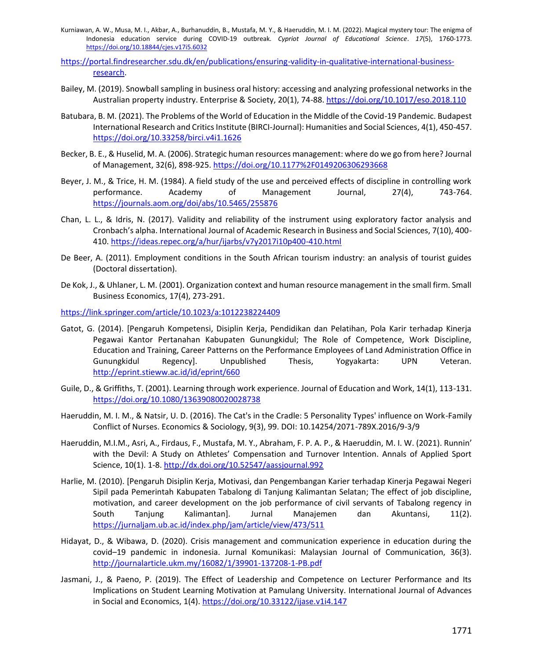- Kurniawan, A. W., Musa, M. I., Akbar, A., Burhanuddin, B., Mustafa, M. Y., & Haeruddin, M. I. M. (2022). Magical mystery tour: The enigma of Indonesia education service during COVID-19 outbreak. *Cypriot Journal of Educational Science*. *17*(5), 1760-1773. <https://doi.org/10.18844/cjes.v17i5.6032>
- [https://portal.findresearcher.sdu.dk/en/publications/ensuring-validity-in-qualitative-international-business](https://portal.findresearcher.sdu.dk/en/publications/ensuring-validity-in-qualitative-international-business-research)[research.](https://portal.findresearcher.sdu.dk/en/publications/ensuring-validity-in-qualitative-international-business-research)
- Bailey, M. (2019). Snowball sampling in business oral history: accessing and analyzing professional networks in the Australian property industry. Enterprise & Society, 20(1), 74-88.<https://doi.org/10.1017/eso.2018.110>
- Batubara, B. M. (2021). The Problems of the World of Education in the Middle of the Covid-19 Pandemic. Budapest International Research and Critics Institute (BIRCI-Journal): Humanities and Social Sciences, 4(1), 450-457. <https://doi.org/10.33258/birci.v4i1.1626>
- Becker, B. E., & Huselid, M. A. (2006). Strategic human resources management: where do we go from here? Journal of Management, 32(6), 898-925[. https://doi.org/10.1177%2F0149206306293668](https://doi.org/10.1177%2F0149206306293668)
- Beyer, J. M., & Trice, H. M. (1984). A field study of the use and perceived effects of discipline in controlling work performance. Academy of Management Journal, 27(4), 743-764. <https://journals.aom.org/doi/abs/10.5465/255876>
- Chan, L. L., & Idris, N. (2017). Validity and reliability of the instrument using exploratory factor analysis and Cronbach's alpha. International Journal of Academic Research in Business and Social Sciences, 7(10), 400- 410.<https://ideas.repec.org/a/hur/ijarbs/v7y2017i10p400-410.html>
- De Beer, A. (2011). Employment conditions in the South African tourism industry: an analysis of tourist guides (Doctoral dissertation).
- De Kok, J., & Uhlaner, L. M. (2001). Organization context and human resource management in the small firm. Small Business Economics, 17(4), 273-291.

<https://link.springer.com/article/10.1023/a:1012238224409>

- Gatot, G. (2014). [Pengaruh Kompetensi, Disiplin Kerja, Pendidikan dan Pelatihan, Pola Karir terhadap Kinerja Pegawai Kantor Pertanahan Kabupaten Gunungkidul; The Role of Competence, Work Discipline, Education and Training, Career Patterns on the Performance Employees of Land Administration Office in Gunungkidul Regency]. Unpublished Thesis, Yogyakarta: UPN Veteran. <http://eprint.stieww.ac.id/id/eprint/660>
- Guile, D., & Griffiths, T. (2001). Learning through work experience. Journal of Education and Work, 14(1), 113-131. <https://doi.org/10.1080/13639080020028738>
- Haeruddin, M. I. M., & Natsir, U. D. (2016). The Cat's in the Cradle: 5 Personality Types' influence on Work-Family Conflict of Nurses. Economics & Sociology, 9(3), 99. DOI: 10.14254/2071-789X.2016/9-3/9
- Haeruddin, M.I.M., Asri, A., Firdaus, F., Mustafa, M. Y., Abraham, F. P. A. P., & Haeruddin, M. I. W. (2021). Runnin' with the Devil: A Study on Athletes' Compensation and Turnover Intention. Annals of Applied Sport Science, 10(1). 1-8.<http://dx.doi.org/10.52547/aassjournal.992>
- Harlie, M. (2010). [Pengaruh Disiplin Kerja, Motivasi, dan Pengembangan Karier terhadap Kinerja Pegawai Negeri Sipil pada Pemerintah Kabupaten Tabalong di Tanjung Kalimantan Selatan; The effect of job discipline, motivation, and career development on the job performance of civil servants of Tabalong regency in South Tanjung Kalimantan]. Jurnal Manajemen dan Akuntansi, 11(2). <https://jurnaljam.ub.ac.id/index.php/jam/article/view/473/511>
- Hidayat, D., & Wibawa, D. (2020). Crisis management and communication experience in education during the covid–19 pandemic in indonesia. Jurnal Komunikasi: Malaysian Journal of Communication, 36(3). <http://journalarticle.ukm.my/16082/1/39901-137208-1-PB.pdf>
- Jasmani, J., & Paeno, P. (2019). The Effect of Leadership and Competence on Lecturer Performance and Its Implications on Student Learning Motivation at Pamulang University. International Journal of Advances in Social and Economics, 1(4).<https://doi.org/10.33122/ijase.v1i4.147>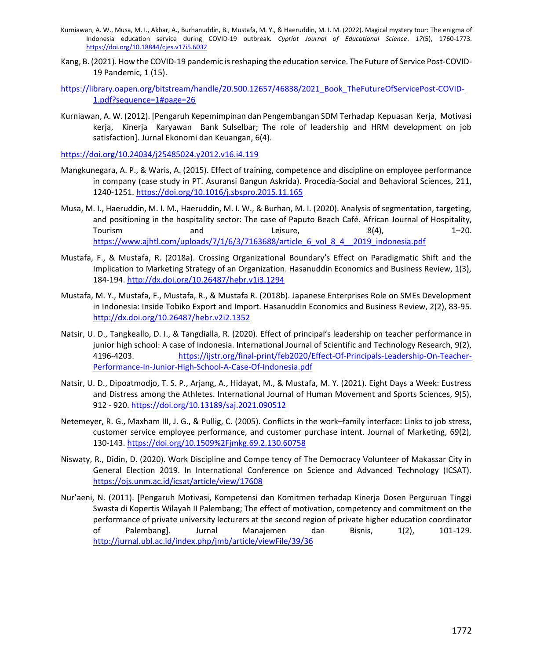- Kurniawan, A. W., Musa, M. I., Akbar, A., Burhanuddin, B., Mustafa, M. Y., & Haeruddin, M. I. M. (2022). Magical mystery tour: The enigma of Indonesia education service during COVID-19 outbreak. *Cypriot Journal of Educational Science*. *17*(5), 1760-1773. <https://doi.org/10.18844/cjes.v17i5.6032>
- Kang, B. (2021). How the COVID-19 pandemic is reshaping the education service. The Future of Service Post-COVID-19 Pandemic, 1 (15).
- [https://library.oapen.org/bitstream/handle/20.500.12657/46838/2021\\_Book\\_TheFutureOfServicePost-COVID-](https://library.oapen.org/bitstream/handle/20.500.12657/46838/2021_Book_TheFutureOfServicePost-COVID-1.pdf?sequence=1#page=26)[1.pdf?sequence=1#page=26](https://library.oapen.org/bitstream/handle/20.500.12657/46838/2021_Book_TheFutureOfServicePost-COVID-1.pdf?sequence=1#page=26)
- Kurniawan, A. W. (2012). [Pengaruh Kepemimpinan dan Pengembangan SDM Terhadap Kepuasan Kerja, Motivasi kerja, Kinerja Karyawan Bank Sulselbar; The role of leadership and HRM development on job satisfaction]. Jurnal Ekonomi dan Keuangan, 6(4).

<https://doi.org/10.24034/j25485024.y2012.v16.i4.119>

- Mangkunegara, A. P., & Waris, A. (2015). Effect of training, competence and discipline on employee performance in company (case study in PT. Asuransi Bangun Askrida). Procedia-Social and Behavioral Sciences, 211, 1240-1251[. https://doi.org/10.1016/j.sbspro.2015.11.165](https://doi.org/10.1016/j.sbspro.2015.11.165)
- Musa, M. I., Haeruddin, M. I. M., Haeruddin, M. I. W., & Burhan, M. I. (2020). Analysis of segmentation, targeting, and positioning in the hospitality sector: The case of Paputo Beach Café. African Journal of Hospitality, Tourism and Leisure, 8(4), 1–20. [https://www.ajhtl.com/uploads/7/1/6/3/7163688/article\\_6\\_vol\\_8\\_4\\_\\_2019\\_indonesia.pdf](https://www.ajhtl.com/uploads/7/1/6/3/7163688/article_6_vol_8_4__2019_indonesia.pdf)
- Mustafa, F., & Mustafa, R. (2018a). Crossing Organizational Boundary's Effect on Paradigmatic Shift and the Implication to Marketing Strategy of an Organization. Hasanuddin Economics and Business Review, 1(3), 184-194.<http://dx.doi.org/10.26487/hebr.v1i3.1294>
- Mustafa, M. Y., Mustafa, F., Mustafa, R., & Mustafa R. (2018b). Japanese Enterprises Role on SMEs Development in Indonesia: Inside Tobiko Export and Import. Hasanuddin Economics and Business Review, 2(2), 83-95. <http://dx.doi.org/10.26487/hebr.v2i2.1352>
- Natsir, U. D., Tangkeallo, D. I., & Tangdialla, R. (2020). Effect of principal's leadership on teacher performance in junior high school: A case of Indonesia. International Journal of Scientific and Technology Research, 9(2), 4196-4203. [https://ijstr.org/final-print/feb2020/Effect-Of-Principals-Leadership-On-Teacher-](https://ijstr.org/final-print/feb2020/Effect-Of-Principals-Leadership-On-Teacher-Performance-In-Junior-High-School-A-Case-Of-Indonesia.pdf)[Performance-In-Junior-High-School-A-Case-Of-Indonesia.pdf](https://ijstr.org/final-print/feb2020/Effect-Of-Principals-Leadership-On-Teacher-Performance-In-Junior-High-School-A-Case-Of-Indonesia.pdf)
- Natsir, U. D., Dipoatmodjo, T. S. P., Arjang, A., Hidayat, M., & Mustafa, M. Y. (2021). Eight Days a Week: Eustress and Distress among the Athletes. International Journal of Human Movement and Sports Sciences, 9(5), 912 - 920.<https://doi.org/10.13189/saj.2021.090512>
- Netemeyer, R. G., Maxham III, J. G., & Pullig, C. (2005). Conflicts in the work–family interface: Links to job stress, customer service employee performance, and customer purchase intent. Journal of Marketing, 69(2), 130-143.<https://doi.org/10.1509%2Fjmkg.69.2.130.60758>
- Niswaty, R., Didin, D. (2020). Work Discipline and Compe tency of The Democracy Volunteer of Makassar City in General Election 2019. In International Conference on Science and Advanced Technology (ICSAT). <https://ojs.unm.ac.id/icsat/article/view/17608>
- Nur'aeni, N. (2011). [Pengaruh Motivasi, Kompetensi dan Komitmen terhadap Kinerja Dosen Perguruan Tinggi Swasta di Kopertis Wilayah II Palembang; The effect of motivation, competency and commitment on the performance of private university lecturers at the second region of private higher education coordinator of Palembang]. Jurnal Manajemen dan Bisnis, 1(2), 101-129. <http://jurnal.ubl.ac.id/index.php/jmb/article/viewFile/39/36>